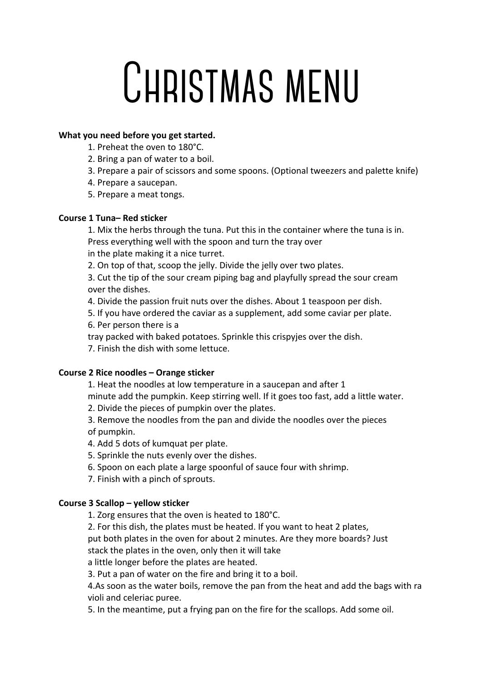# **Christmas menu**

### **What you need before you get started.**

- 1. Preheat the oven to 180°C.
- 2. Bring a pan of water to a boil.
- 3. Prepare a pair of scissors and some spoons. (Optional tweezers and palette knife)
- 4. Prepare a saucepan.
- 5. Prepare a meat tongs.

### **Course 1 Tuna– Red sticker**

1. Mix the herbs through the tuna. Put this in the container where the tuna is in. Press everything well with the spoon and turn the tray over

in the plate making it a nice turret.

2. On top of that, scoop the jelly. Divide the jelly over two plates.

3. Cut the tip of the sour cream piping bag and playfully spread the sour cream over the dishes.

4. Divide the passion fruit nuts over the dishes. About 1 teaspoon per dish.

5. If you have ordered the caviar as a supplement, add some caviar per plate.

6. Per person there is a

tray packed with baked potatoes. Sprinkle this crispyjes over the dish.

7. Finish the dish with some lettuce.

# **Course 2 Rice noodles – Orange sticker**

1. Heat the noodles at low temperature in a saucepan and after 1

minute add the pumpkin. Keep stirring well. If it goes too fast, add a little water.

2. Divide the pieces of pumpkin over the plates.

3. Remove the noodles from the pan and divide the noodles over the pieces of pumpkin.

4. Add 5 dots of kumquat per plate.

5. Sprinkle the nuts evenly over the dishes.

6. Spoon on each plate a large spoonful of sauce four with shrimp.

7. Finish with a pinch of sprouts.

# **Course 3 Scallop – yellow sticker**

1. Zorg ensures that the oven is heated to 180°C.

2. For this dish, the plates must be heated. If you want to heat 2 plates,

put both plates in the oven for about 2 minutes. Are they more boards? Just stack the plates in the oven, only then it will take

a little longer before the plates are heated.

3. Put a pan of water on the fire and bring it to a boil.

4.As soon as the water boils, remove the pan from the heat and add the bags with ra violi and celeriac puree.

5. In the meantime, put a frying pan on the fire for the scallops. Add some oil.